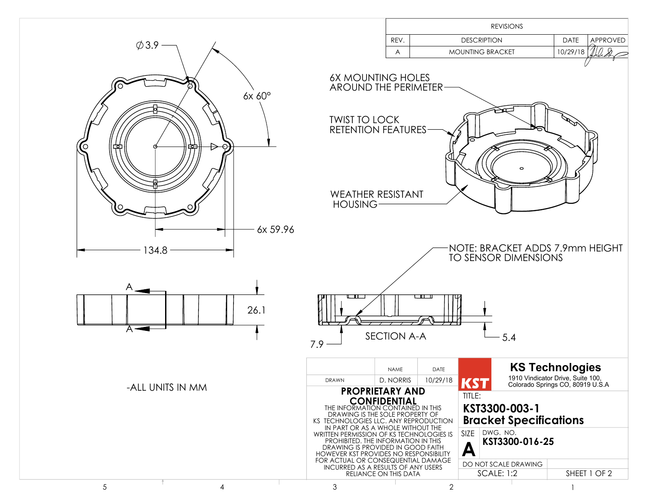